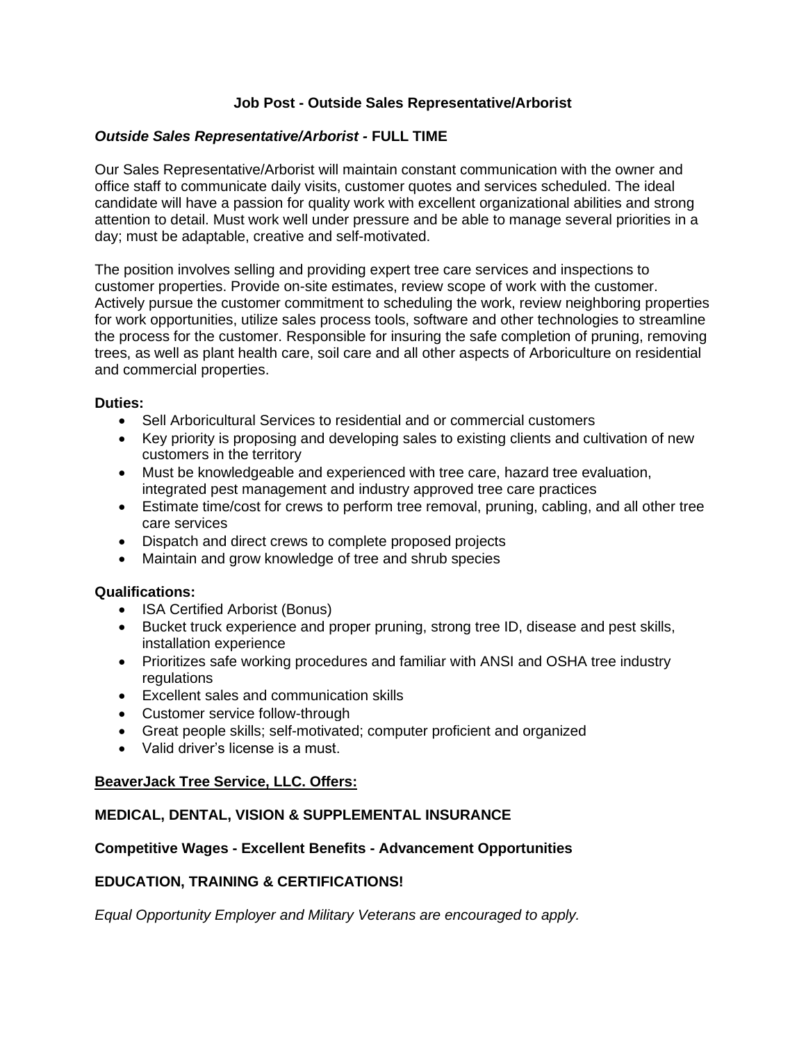# **Job Post - Outside Sales Representative/Arborist**

# *Outside Sales Representative/Arborist -* **FULL TIME**

Our Sales Representative/Arborist will maintain constant communication with the owner and office staff to communicate daily visits, customer quotes and services scheduled. The ideal candidate will have a passion for quality work with excellent organizational abilities and strong attention to detail. Must work well under pressure and be able to manage several priorities in a day; must be adaptable, creative and self-motivated.

The position involves selling and providing expert tree care services and inspections to customer properties. Provide on-site estimates, review scope of work with the customer. Actively pursue the customer commitment to scheduling the work, review neighboring properties for work opportunities, utilize sales process tools, software and other technologies to streamline the process for the customer. Responsible for insuring the safe completion of pruning, removing trees, as well as plant health care, soil care and all other aspects of Arboriculture on residential and commercial properties.

#### **Duties:**

- Sell Arboricultural Services to residential and or commercial customers
- Key priority is proposing and developing sales to existing clients and cultivation of new customers in the territory
- Must be knowledgeable and experienced with tree care, hazard tree evaluation, integrated pest management and industry approved tree care practices
- Estimate time/cost for crews to perform tree removal, pruning, cabling, and all other tree care services
- Dispatch and direct crews to complete proposed projects
- Maintain and grow knowledge of tree and shrub species

## **Qualifications:**

- ISA Certified Arborist (Bonus)
- Bucket truck experience and proper pruning, strong tree ID, disease and pest skills, installation experience
- Prioritizes safe working procedures and familiar with ANSI and OSHA tree industry regulations
- Excellent sales and communication skills
- Customer service follow-through
- Great people skills; self-motivated; computer proficient and organized
- Valid driver's license is a must.

## **BeaverJack Tree Service, LLC. Offers:**

## **MEDICAL, DENTAL, VISION & SUPPLEMENTAL INSURANCE**

## **Competitive Wages - Excellent Benefits - Advancement Opportunities**

## **EDUCATION, TRAINING & CERTIFICATIONS!**

*Equal Opportunity Employer and Military Veterans are encouraged to apply.*